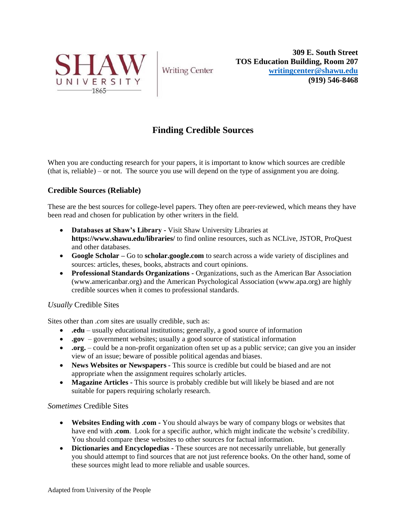

**Writing Center** 

**309 E. South Street TOS Education Building, Room 207 [writingcenter@shawu.edu](mailto:writingcenter@shawu.edu) (919) 546-8468**

# **Finding Credible Sources**

When you are conducting research for your papers, it is important to know which sources are credible (that is, reliable) – or not. The source you use will depend on the type of assignment you are doing.

## **Credible Sources (Reliable)**

These are the best sources for college-level papers. They often are peer-reviewed, which means they have been read and chosen for publication by other writers in the field.

- **Databases at Shaw's Library -** Visit Shaw University Libraries at **https://www.shawu.edu/libraries/** to find online resources, such as NCLive, JSTOR, ProQuest and other databases.
- **Google Scholar –** Go to **scholar.google.com** to search across a wide variety of disciplines and sources: articles, theses, books, abstracts and court opinions.
- **Professional Standards Organizations -** Organizations, such as the American Bar Association (www.americanbar.org) and the American Psychological Association (www.apa.org) are highly credible sources when it comes to professional standards.

## *Usually* Credible Sites

Sites other than *.com* sites are usually credible, such as:

- **.edu** usually educational institutions; generally, a good source of information
- **.gov** government websites; usually a good source of statistical information
- **.org.** could be a non-profit organization often set up as a public service; can give you an insider view of an issue; beware of possible political agendas and biases.
- **News Websites or Newspapers -** This source is credible but could be biased and are not appropriate when the assignment requires scholarly articles.
- **Magazine Articles -** This source is probably credible but will likely be biased and are not suitable for papers requiring scholarly research.

#### *Sometimes* Credible Sites

- **Websites Ending with .com -** You should always be wary of company blogs or websites that have end with **.com**. Look for a specific author, which might indicate the website's credibility. You should compare these websites to other sources for factual information.
- **Dictionaries and Encyclopedias -** These sources are not necessarily unreliable, but generally you should attempt to find sources that are not just reference books. On the other hand, some of these sources might lead to more reliable and usable sources.